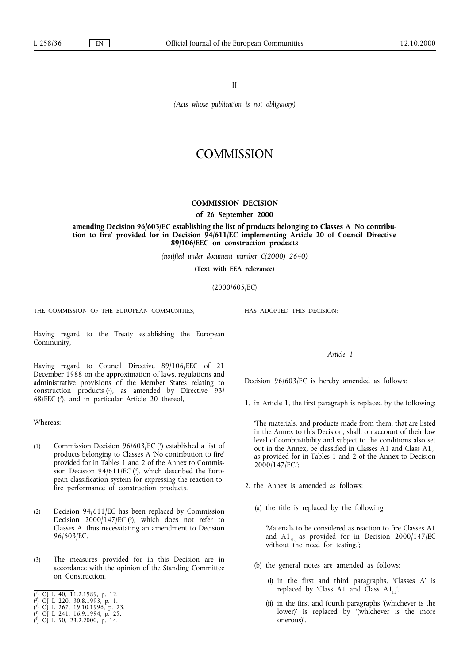II

*(Acts whose publication is not obligatory)*

## **COMMISSION**

## **COMMISSION DECISION**

**of 26 September 2000**

**amending Decision 96/603/EC establishing the list of products belonging to Classes A 'No contribution to fire' provided for in Decision 94/611/EC implementing Article 20 of Council Directive 89/106/EEC on construction products**

*(notified under document number C(2000) 2640)*

**(Text with EEA relevance)**

(2000/605/EC)

THE COMMISSION OF THE EUROPEAN COMMUNITIES.

Having regard to the Treaty establishing the European Community,

Having regard to Council Directive 89/106/EEC of 21 December 1988 on the approximation of laws, regulations and administrative provisions of the Member States relating to construction products  $(1)$ , as amended by Directive 93/ 68/EEC (2), and in particular Article 20 thereof,

Whereas:

- (1) Commission Decision 96/603/EC (3) established a list of products belonging to Classes A 'No contribution to fire' provided for in Tables 1 and 2 of the Annex to Commission Decision 94/611/EC (4), which described the European classification system for expressing the reaction-tofire performance of construction products.
- (2) Decision 94/611/EC has been replaced by Commission Decision  $2000/147/EC$  (5), which does not refer to Classes A, thus necessitating an amendment to Decision 96/603/EC.
- (3) The measures provided for in this Decision are in accordance with the opinion of the Standing Committee on Construction,
- ( 1) OJ L 40, 11.2.1989, p. 12.
- ( 2) OJ L 220, 30.8.1993, p. 1.
- ( 3) OJ L 267, 19.10.1996, p. 23.
- ( 4) OJ L 241, 16.9.1994, p. 25.
- ( 5) OJ L 50, 23.2.2000, p. 14.

HAS ADOPTED THIS DECISION:

## *Article 1*

Decision 96/603/EC is hereby amended as follows:

1. in Article 1, the first paragraph is replaced by the following:

'The materials, and products made from them, that are listed in the Annex to this Decision, shall, on account of their low level of combustibility and subject to the conditions also set out in the Annex, be classified in Classes A1 and Class  $A1_{FL}$ as provided for in Tables 1 and 2 of the Annex to Decision 2000/147/EC.';

- 2. the Annex is amended as follows:
	- (a) the title is replaced by the following:

'Materials to be considered as reaction to fire Classes A1 and  $A1_{FL}$  as provided for in Decision 2000/147/EC without the need for testing.';

- (b) the general notes are amended as follows:
	- (i) in the first and third paragraphs, 'Classes A' is replaced by 'Class A1 and Class A1 $_{\text{H}}$ '.
	- (ii) in the first and fourth paragraphs '(whichever is the lower)' is replaced by '(whichever is the more onerous)'.